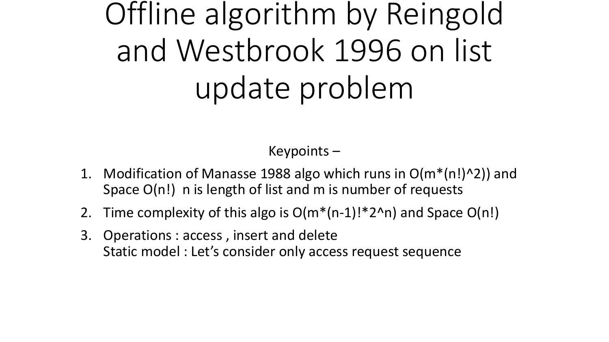# Offline algorithm by Reingold and Westbrook 1996 on list update problem

Keypoints –

- 1. Modification of Manasse 1988 algo which runs in  $O(m^*(n!)^2)$  and Space O(n!) n is length of list and m is number of requests
- 2. Time complexity of this algo is  $O(m^*(n-1)!*2^n)$  and Space  $O(n!)$
- 3. Operations : access , insert and delete Static model : Let's consider only access request sequence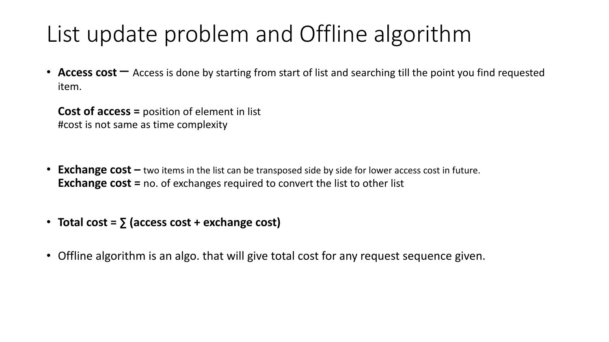## List update problem and Offline algorithm

• **Access cost**  $-$  Access is done by starting from start of list and searching till the point you find requested item.

**Cost of access =** position of element in list #cost is not same as time complexity

- **Exchange cost** two items in the list can be transposed side by side for lower access cost in future. **Exchange cost =** no. of exchanges required to convert the list to other list
- **Total cost =**  $\sum$  **(access cost + exchange cost)**
- Offline algorithm is an algo. that will give total cost for any request sequence given.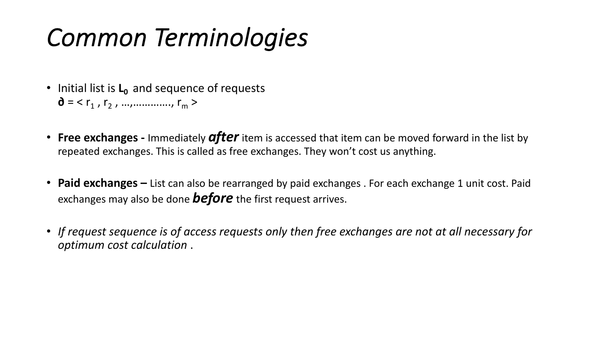## *Common Terminologies*

- Initial list is **L**<sub>0</sub> and sequence of requests  $\mathbf{\hat{d}} = \langle r_1, r_2, ..., \dots \dots \dots \rangle$ ,  $r_m >$
- **Free exchanges -** Immediately *after*item is accessed that item can be moved forward in the list by repeated exchanges. This is called as free exchanges. They won't cost us anything.
- **Paid exchanges** List can also be rearranged by paid exchanges . For each exchange 1 unit cost. Paid exchanges may also be done *before* the first request arrives.
- *If request sequence is of access requests only then free exchanges are not at all necessary for optimum cost calculation* .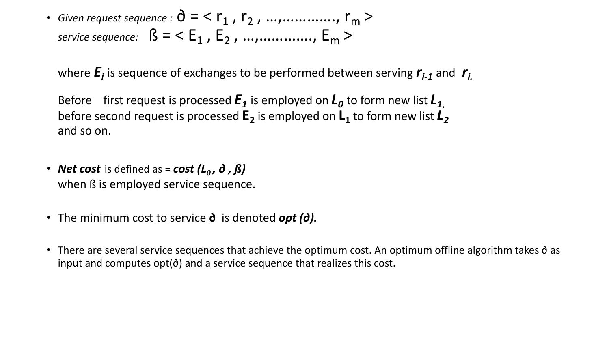• *Given request sequence* :  $\partial = \langle r_1, r_2, ..., ... , r_m \rangle$ *service sequence:*  $B = \langle E_1, E_2, ..., ... , E_m \rangle$ 

where  $\boldsymbol{E}_i$  is sequence of exchanges to be performed between serving  $\boldsymbol{r}_{i-1}$  and  $\boldsymbol{r}_i$ 

Before first request is processed  $E_1$  is employed on  $L_0$  to form new list  $L_1$ before second request is processed  $E_2$  is employed on  $L_1$  to form new list  $L_2$ and so on.

- *Net cost* is defined as = *cost* (*L*<sub>0</sub>, ∂, *β*) when ß is employed service sequence.
- The minimum cost to service **∂** is denoted *opt (∂).*
- There are several service sequences that achieve the optimum cost. An optimum offline algorithm takes ∂ as input and computes opt(∂) and a service sequence that realizes this cost.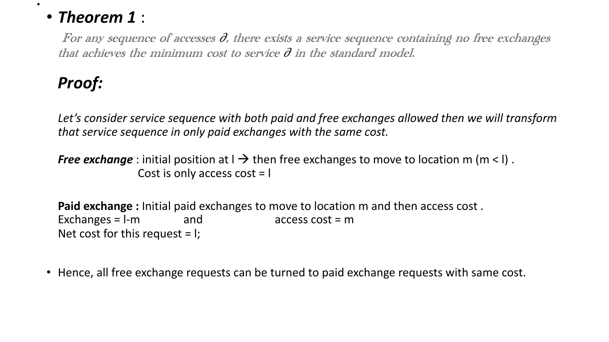#### • *Theorem 1* :

For any sequence of accesses  $\partial$ , there exists a service sequence containing no free exchanges that achieves the minimum cost to service  $\partial$  in the standard model.

### *Proof:*

.

*Let's consider service sequence with both paid and free exchanges allowed then we will transform that service sequence in only paid exchanges with the same cost.*

*Free exchange* : initial position at  $l \rightarrow$  then free exchanges to move to location m (m < l). Cost is only access cost = l

**Paid exchange :** Initial paid exchanges to move to location m and then access cost .  $\textsf{Exchanges} = \textsf{l-m}$  and  $\textsf{access cost} = \textsf{m}$ Net cost for this request  $=$  I;

• Hence, all free exchange requests can be turned to paid exchange requests with same cost.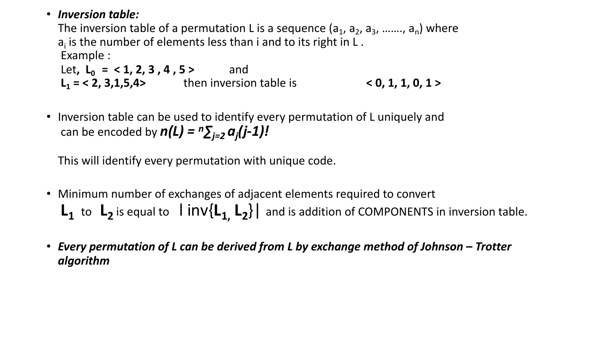#### • *Inversion table:*

The inversion table of a permutation L is a sequence  $(a_1, a_2, a_3, \ldots, a_n)$  where  $a_i$  is the number of elements less than i and to its right in L. Example :

Let, L<sub>0</sub> = < 1, 2, 3, 4, 5 > and **L<sub>1</sub>** = < **2**, **3**, **1**, **5**, **4**> *then inversion table is* $\leq$  **0, <b>1**, **1**, **0**, **1** >

• Inversion table can be used to identify every permutation of L uniquely and can be encoded by  $n(L) = n \sum_{j=2} a_j(j-1)I$ 

This will identify every permutation with unique code.

- Minimum number of exchanges of adjacent elements required to convert  $L_1$  to  $L_2$  is equal to  $\lim_{\epsilon \to 0}$   $\lim_{\epsilon \to 0}$  and is addition of COMPONENTS in inversion table.
- *Every permutation of L can be derived from L by exchange method of Johnson – Trotter algorithm*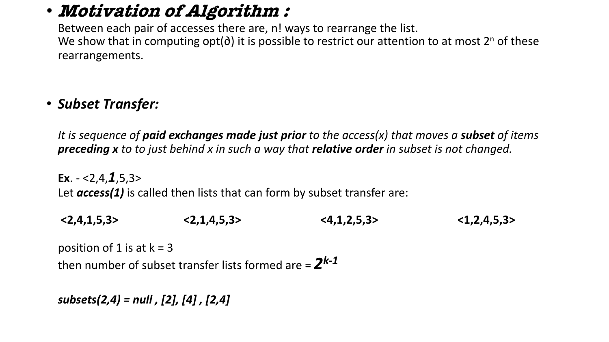## • **Motivation of Algorithm :**

Between each pair of accesses there are, n! ways to rearrange the list. We show that in computing opt(∂) it is possible to restrict our attention to at most 2<sup>n</sup> of these rearrangements.

#### • *Subset Transfer:*

*It is sequence of paid exchanges made just prior to the access(x) that moves a subset of items preceding x to to just behind x in such a way that relative order in subset is not changed.*

**Ex**. - <2,4,*1*,5,3> Let *access(1)* is called then lists that can form by subset transfer are:

**<2,4,1,5,3> <2,1,4,5,3> <4,1,2,5,3> <1,2,4,5,3>**

position of 1 is at  $k = 3$ then number of subset transfer lists formed are  $= 2^{k-1}$ 

*subsets(2,4) = null , [2], [4] , [2,4]*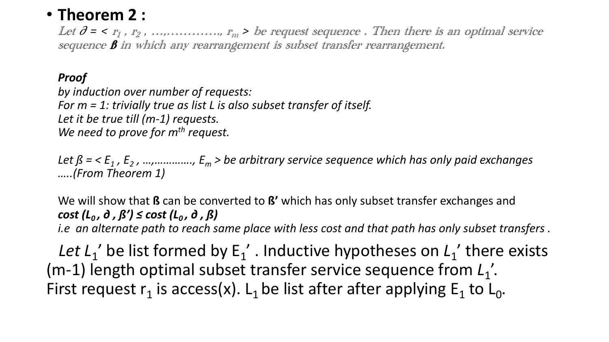#### • **Theorem 2 :**

Let  $\partial$  = <  $r_1$  ,  $r_2$  , …,………,  $r_m$  > be request sequence . Then there is an optimal service sequence **B** in which any rearrangement is subset transfer rearrangement.

#### *Proof*

*by induction over number of requests: For m = 1: trivially true as list L is also subset transfer of itself. Let it be true till (m-1) requests. We need to prove for m<sup>th</sup> request.* 

*Let*  $\beta$  = <  $E_1$ ,  $E_2$ , …, …,  $E_m$ ,  $E_m$  > be arbitrary service sequence which has only paid exchanges *…..(From Theorem 1)*

We will show that **ß** can be converted to **ß'** which has only subset transfer exchanges and *cost (L<sub>0</sub>, ∂, ß') ≤ cost (L<sub>0</sub>, ∂, ß) i.e an alternate path to reach same place with less cost and that path has only subset transfers .*

*Let L*<sup>1</sup> be list formed by  $E_1'$ . Inductive hypotheses on  $L_1'$  there exists (m-1) length optimal subset transfer service sequence from  $L_1$ '. First request  $r_1$  is access(x). L<sub>1</sub> be list after after applying  $E_1$  to L<sub>0</sub>.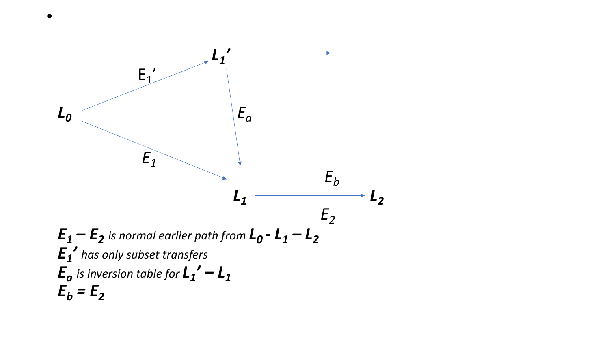

•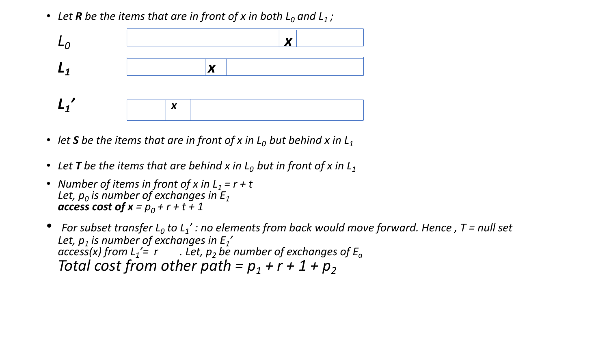• Let **R** be the items that are in front of x in both  $L_0$  and  $L_1$ ;



- let S be the items that are in front of x in  $L_0$  but behind x in  $L_1$
- Let **T** be the items that are behind x in  $L_0$  but in front of x in  $L_1$
- *Number of items in front of x in L<sub>1</sub> = r + t* Let,  $p_0$  *is number of exchanges in*  $E_1$ *access cost of*  $x = p_0 + r + t + 1$
- For subset *transfer*  $L_0$  *to*  $L_1$ ': no elements from back would move forward. Hence, T = null set *Let, p1 is number of exchanges in E1 '*  $\frac{1}{\pi}$  *access(x) from L<sub>1</sub>'= r* . Let, p<sub>2</sub> be number of exchanges of E<sub>a</sub> *Total cost from other path =*  $p_1 + r + 1 + p_2$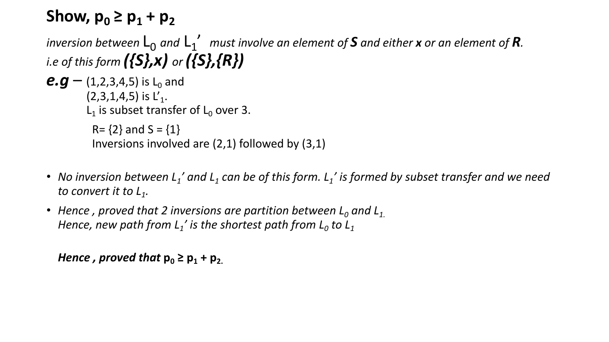## **Show,**  $p_0 \ge p_1 + p_2$

*inversion between*  $L_0$  *and*  $L_1'$  *must involve an element of S and either <i>x* or an element of **R**. *i.e of this form ({S},x) or ({S},{R})*

```
e.g – (1,2,3,4,5) is L<sub>0</sub> and
(2,3,1,4,5) is L'_1.
L_1 is subset transfer of L_0 over 3.
 R = \{2\} and S = \{1\}Inversions involved are (2,1) followed by (3,1)
```
- *No inversion between L<sub>1</sub>' and L<sub>1</sub> can be of this form. L<sub>1</sub>' is formed by subset transfer and we need to convert it to L1.*
- Hence, proved that 2 inversions are partition between  $L_0$  and  $L_1$ . *Hence, new path from L<sub>1</sub>' is the shortest path from L<sub>0</sub> to L<sub>1</sub>*

```
Hence, proved that p_0 \geq p_1 + p_2.
```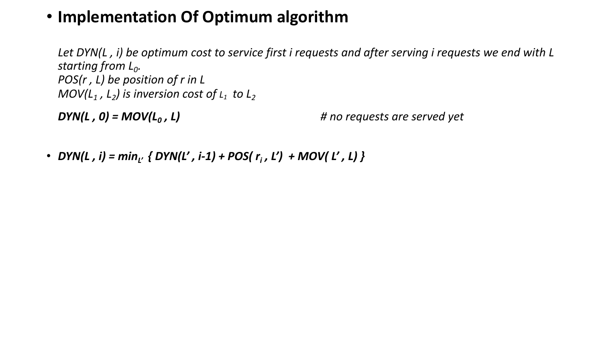#### • **Implementation Of Optimum algorithm**

*Let DYN(L , i) be optimum cost to service first i requests and after serving i requests we end with L starting from L0. POS(r , L) be position of r in L MOV*( $L_1$ ,  $L_2$ ) is inversion cost of  $L_1$  to  $L_2$ 

*DYN(L , 0) = MOV(L0 , L) # no requests are served yet*

• *DYN(L, i)* =  $min_{L'}$  { *DYN(L', i-1)* + *POS(r<sub>i</sub>, L')* + *MOV(L', L)* }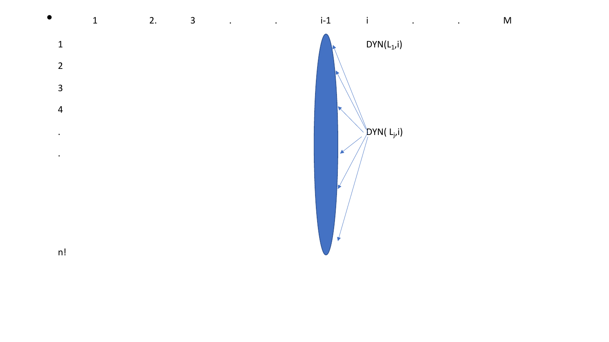



 $i-1$ 

 $\sim$ i $^{-1}$ 

 $DYN(L_1,i)$ 

. . M

 $n!$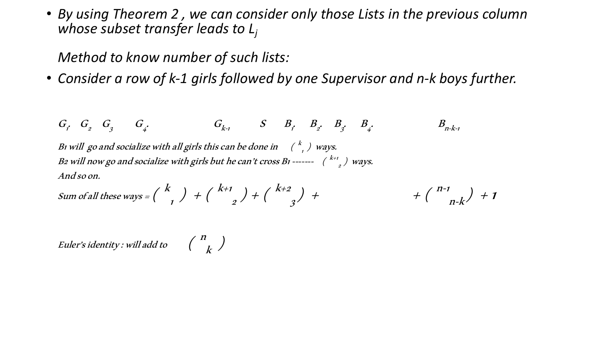• *By using Theorem 2 , we can consider only those Lists in the previous column whose subset transfer leads to Lj*

*Method to know number of such lists:*

• *Consider a row of k-1 girls followed by one Supervisor and n-k boys further.*

 $G_i$   $G_j$   $G_i$ 3 G  $G_{k-1}$   $S$   $B_{i}$   $B_{2}$   $B_{j}$ 3 . B 4 .  $B_{n-k-1}$ B1 will go and socialize with all girls this can be done in  $\left(\begin{array}{cc} k\\ l\end{array}\right)$  ways. B2 will now go and socialize with girls but he can't cross  $B_1$ -------  $\begin{pmatrix} k_{+1} \\ k_{-2} \end{pmatrix}$  ways. And so on. Sum of all these ways =  $\Big(\begin{array}{c} k\ 1 \end{array}\Big)$   $\;\;+\; \Big(\begin{array}{c} k\texttt{+1}\ 2 \end{array}\Big)$   $\;\;+\; \Big(\begin{array}{c} k\texttt{+2}\ 3 \end{array}\Big)$  $\left( \begin{array}{cc} h^{-1} & h^{-1} \\ h^{-1} & h^{-1} \end{array} \right) + 1$ 

Euler's identity : will add to  $\left(\begin{array}{cc} n \ k \end{array}\right)$